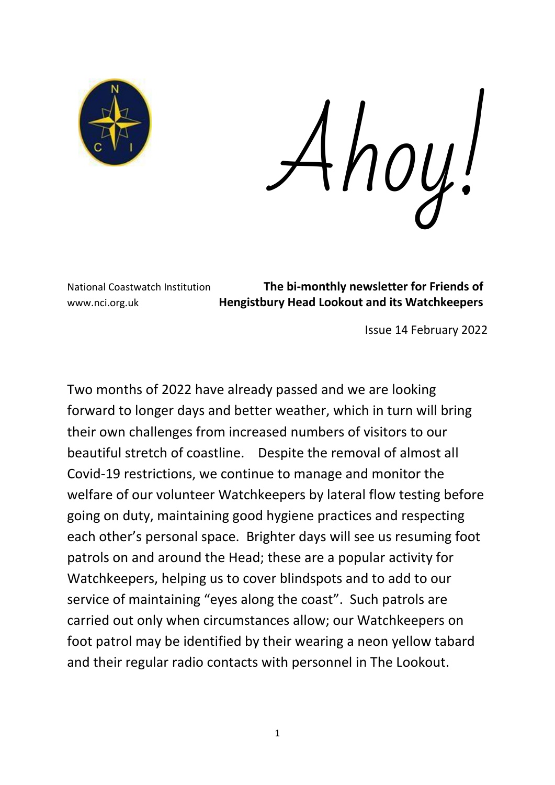

Ahoy!

National Coastwatch Institution **The bi-monthly newsletter for Friends of** www.nci.org.uk **Hengistbury Head Lookout and its Watchkeepers**

Issue 14 February 2022

Two months of 2022 have already passed and we are looking forward to longer days and better weather, which in turn will bring their own challenges from increased numbers of visitors to our beautiful stretch of coastline. Despite the removal of almost all Covid-19 restrictions, we continue to manage and monitor the welfare of our volunteer Watchkeepers by lateral flow testing before going on duty, maintaining good hygiene practices and respecting each other's personal space. Brighter days will see us resuming foot patrols on and around the Head; these are a popular activity for Watchkeepers, helping us to cover blindspots and to add to our service of maintaining "eyes along the coast". Such patrols are carried out only when circumstances allow; our Watchkeepers on foot patrol may be identified by their wearing a neon yellow tabard and their regular radio contacts with personnel in The Lookout.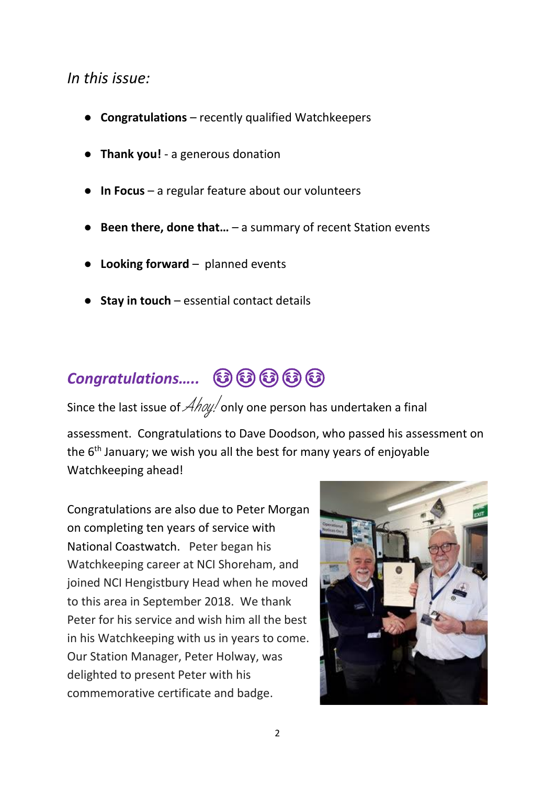#### *In this issue:*

- **Congratulations**  recently qualified Watchkeepers
- **Thank you!**  a generous donation
- **In Focus** a regular feature about our volunteers
- **Been there, done that…** a summary of recent Station events
- **Looking forward**  planned events
- **Stay in touch** essential contact details

## **Congratulations..... ©©©©©©**

Since the last issue of  $\hat{\mathcal{A}}$  hoy! only one person has undertaken a final

assessment. Congratulations to Dave Doodson, who passed his assessment on the 6<sup>th</sup> January; we wish you all the best for many years of enjoyable Watchkeeping ahead!

Congratulations are also due to Peter Morgan on completing ten years of service with National Coastwatch. Peter began his Watchkeeping career at NCI Shoreham, and joined NCI Hengistbury Head when he moved to this area in September 2018. We thank Peter for his service and wish him all the best in his Watchkeeping with us in years to come. Our Station Manager, Peter Holway, was delighted to present Peter with his commemorative certificate and badge.

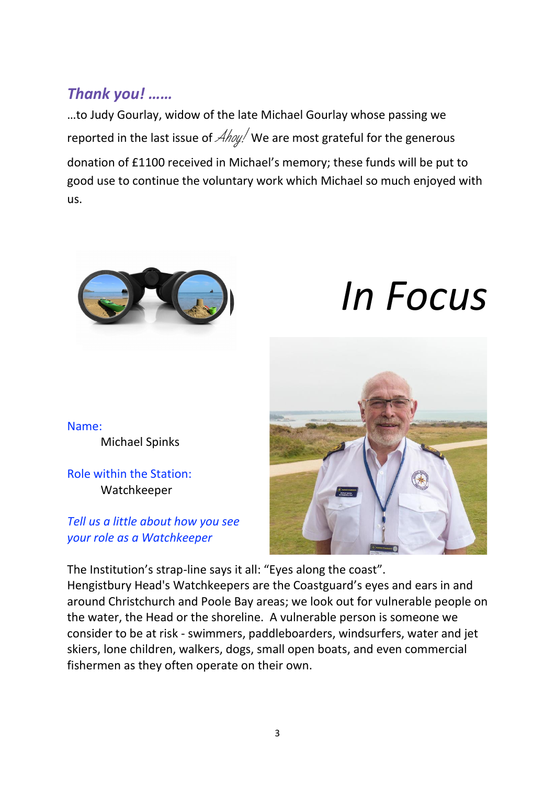## *Thank you! ……*

…to Judy Gourlay, widow of the late Michael Gourlay whose passing we reported in the last issue of  $\mathcal{A}$ hoy! We are most grateful for the generous

donation of £1100 received in Michael's memory; these funds will be put to good use to continue the voluntary work which Michael so much enjoyed with us.



# *In Focus*

Name: Michael Spinks

Role within the Station: Watchkeeper

*Tell us a little about how you see your role as a Watchkeeper*



The Institution's strap-line says it all: "Eyes along the coast". Hengistbury Head's Watchkeepers are the Coastguard's eyes and ears in and around Christchurch and Poole Bay areas; we look out for vulnerable people on the water, the Head or the shoreline. A vulnerable person is someone we consider to be at risk - swimmers, paddleboarders, windsurfers, water and jet skiers, lone children, walkers, dogs, small open boats, and even commercial fishermen as they often operate on their own.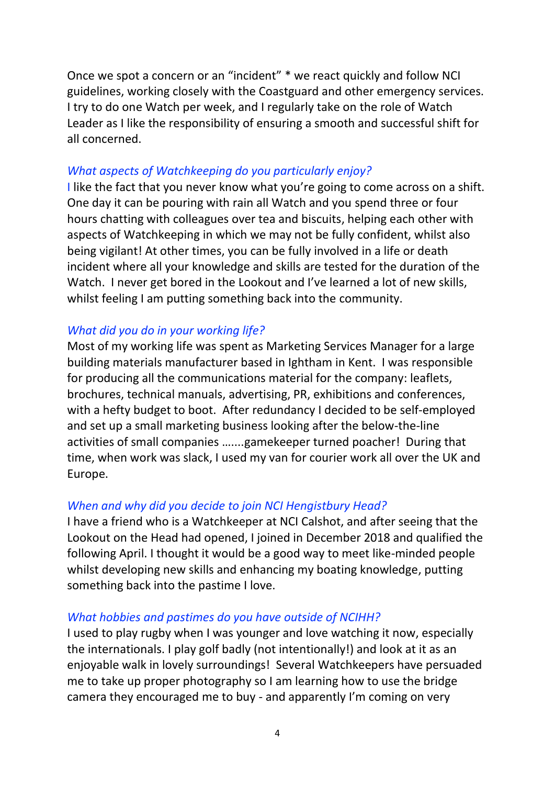Once we spot a concern or an "incident" \* we react quickly and follow NCI guidelines, working closely with the Coastguard and other emergency services. I try to do one Watch per week, and I regularly take on the role of Watch Leader as I like the responsibility of ensuring a smooth and successful shift for all concerned.

#### *What aspects of Watchkeeping do you particularly enjoy?*

I like the fact that you never know what you're going to come across on a shift. One day it can be pouring with rain all Watch and you spend three or four hours chatting with colleagues over tea and biscuits, helping each other with aspects of Watchkeeping in which we may not be fully confident, whilst also being vigilant! At other times, you can be fully involved in a life or death incident where all your knowledge and skills are tested for the duration of the Watch. I never get bored in the Lookout and I've learned a lot of new skills, whilst feeling I am putting something back into the community.

#### *What did you do in your working life?*

Most of my working life was spent as Marketing Services Manager for a large building materials manufacturer based in Ightham in Kent. I was responsible for producing all the communications material for the company: leaflets, brochures, technical manuals, advertising, PR, exhibitions and conferences, with a hefty budget to boot. After redundancy I decided to be self-employed and set up a small marketing business looking after the below-the-line activities of small companies …....gamekeeper turned poacher! During that time, when work was slack, I used my van for courier work all over the UK and Europe.

#### *When and why did you decide to join NCI Hengistbury Head?*

I have a friend who is a Watchkeeper at NCI Calshot, and after seeing that the Lookout on the Head had opened, I joined in December 2018 and qualified the following April. I thought it would be a good way to meet like-minded people whilst developing new skills and enhancing my boating knowledge, putting something back into the pastime I love.

#### *What hobbies and pastimes do you have outside of NCIHH?*

I used to play rugby when I was younger and love watching it now, especially the internationals. I play golf badly (not intentionally!) and look at it as an enjoyable walk in lovely surroundings! Several Watchkeepers have persuaded me to take up proper photography so I am learning how to use the bridge camera they encouraged me to buy - and apparently I'm coming on very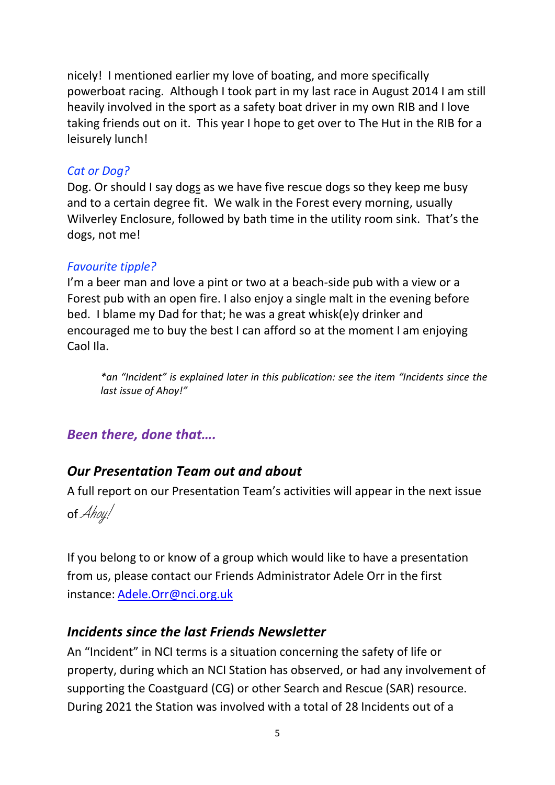nicely! I mentioned earlier my love of boating, and more specifically powerboat racing. Although I took part in my last race in August 2014 I am still heavily involved in the sport as a safety boat driver in my own RIB and I love taking friends out on it. This year I hope to get over to The Hut in the RIB for a leisurely lunch!

#### *Cat or Dog?*

Dog. Or should I say dogs as we have five rescue dogs so they keep me busy and to a certain degree fit. We walk in the Forest every morning, usually Wilverley Enclosure, followed by bath time in the utility room sink. That's the dogs, not me!

#### *Favourite tipple?*

I'm a beer man and love a pint or two at a beach-side pub with a view or a Forest pub with an open fire. I also enjoy a single malt in the evening before bed. I blame my Dad for that; he was a great whisk(e)y drinker and encouraged me to buy the best I can afford so at the moment I am enjoying Caol Ila.

*\*an "Incident" is explained later in this publication: see the item "Incidents since the last issue of Ahoy!"*

#### *Been there, done that….*

#### *Our Presentation Team out and about*

A full report on our Presentation Team's activities will appear in the next issue



If you belong to or know of a group which would like to have a presentation from us, please contact our Friends Administrator Adele Orr in the first instance: [Adele.Orr@nci.org.uk](mailto:Adele.Orr@nci.org.uk)

#### *Incidents since the last Friends Newsletter*

An "Incident" in NCI terms is a situation concerning the safety of life or property, during which an NCI Station has observed, or had any involvement of supporting the Coastguard (CG) or other Search and Rescue (SAR) resource. During 2021 the Station was involved with a total of 28 Incidents out of a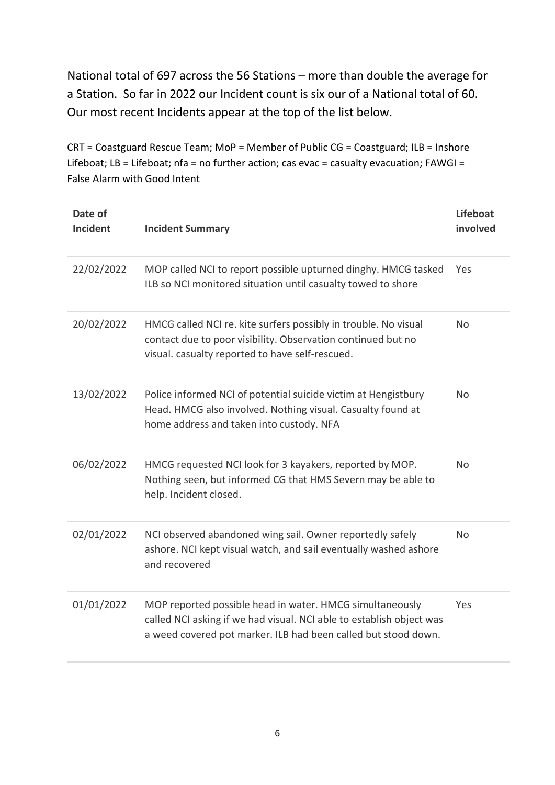National total of 697 across the 56 Stations – more than double the average for a Station. So far in 2022 our Incident count is six our of a National total of 60. Our most recent Incidents appear at the top of the list below.

CRT = Coastguard Rescue Team; MoP = Member of Public CG = Coastguard; ILB = Inshore Lifeboat; LB = Lifeboat; nfa = no further action; cas evac = casualty evacuation; FAWGI = False Alarm with Good Intent

| Date of<br><b>Incident</b> | <b>Incident Summary</b>                                                                                                                                                                            | Lifeboat<br>involved |
|----------------------------|----------------------------------------------------------------------------------------------------------------------------------------------------------------------------------------------------|----------------------|
| 22/02/2022                 | MOP called NCI to report possible upturned dinghy. HMCG tasked<br>ILB so NCI monitored situation until casualty towed to shore                                                                     | Yes                  |
| 20/02/2022                 | HMCG called NCI re. kite surfers possibly in trouble. No visual<br>contact due to poor visibility. Observation continued but no<br>visual. casualty reported to have self-rescued.                 | <b>No</b>            |
| 13/02/2022                 | Police informed NCI of potential suicide victim at Hengistbury<br>Head. HMCG also involved. Nothing visual. Casualty found at<br>home address and taken into custody. NFA                          | <b>No</b>            |
| 06/02/2022                 | HMCG requested NCI look for 3 kayakers, reported by MOP.<br>Nothing seen, but informed CG that HMS Severn may be able to<br>help. Incident closed.                                                 | No                   |
| 02/01/2022                 | NCI observed abandoned wing sail. Owner reportedly safely<br>ashore. NCI kept visual watch, and sail eventually washed ashore<br>and recovered                                                     | <b>No</b>            |
| 01/01/2022                 | MOP reported possible head in water. HMCG simultaneously<br>called NCI asking if we had visual. NCI able to establish object was<br>a weed covered pot marker. ILB had been called but stood down. | Yes                  |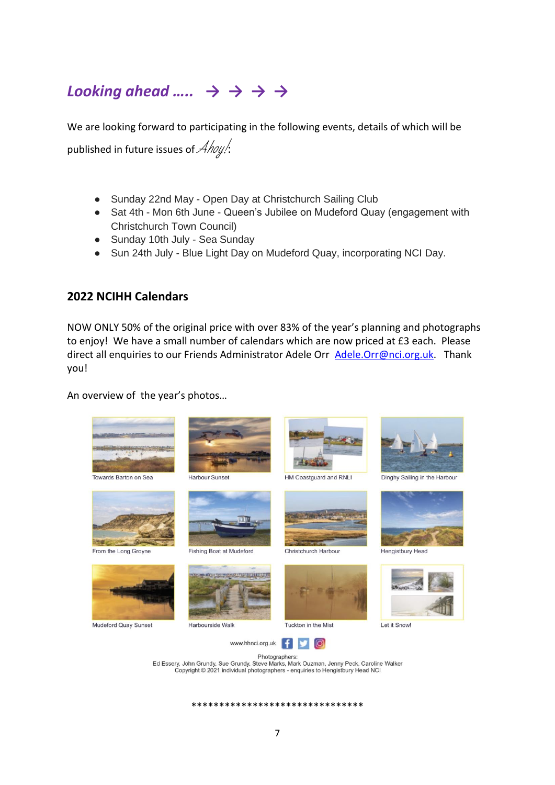## *Looking ahead ….. → → → →*

We are looking forward to participating in the following events, details of which will be published in future issues of  $\mathcal{A}$ hoy!

- Sunday 22nd May Open Day at Christchurch Sailing Club
- Sat 4th Mon 6th June Queen's Jubilee on Mudeford Quay (engagement with Christchurch Town Council)
- Sunday 10th July Sea Sunday
- Sun 24th July Blue Light Day on Mudeford Quay, incorporating NCI Day.

#### **2022 NCIHH Calendars**

NOW ONLY 50% of the original price with over 83% of the year's planning and photographs to enjoy! We have a small number of calendars which are now priced at £3 each. Please direct all enquiries to our Friends Administrator Adele Orr [Adele.Orr@nci.org.uk.](mailto:Adele.Orr@nci.org.uk) Thank you!

An overview of the year's photos…



\*\*\*\*\*\*\*\*\*\*\*\*\*\*\*\*\*\*\*\*\*\*\*\*\*\*\*\*\*\*\*